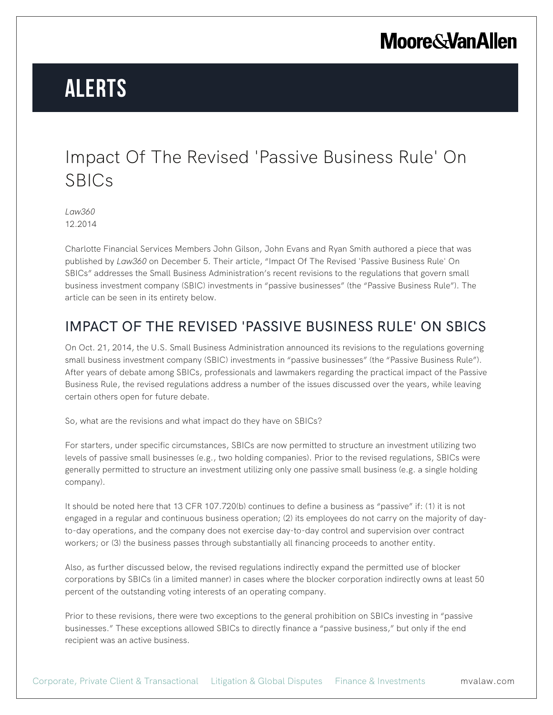## **Moore & Van Allen**

# **Alerts**

#### Impact Of The Revised 'Passive Business Rule' On SBICs

*Law360* 12.2014

Charlotte Financial Services Members John Gilson, John Evans and Ryan Smith authored a piece that was published by *Law360* on December 5. Their article, "Impact Of The Revised 'Passive Business Rule' On SBICs" addresses the Small Business Administration's recent revisions to the regulations that govern small business investment company (SBIC) investments in "passive businesses" (the "Passive Business Rule"). The article can be seen in its entirety below.

#### IMPACT OF THE REVISED 'PASSIVE BUSINESS RULE' ON SBICS

On Oct. 21, 2014, the U.S. Small Business Administration announced its revisions to the regulations governing small business investment company (SBIC) investments in "passive businesses" (the "Passive Business Rule"). After years of debate among SBICs, professionals and lawmakers regarding the practical impact of the Passive Business Rule, the revised regulations address a number of the issues discussed over the years, while leaving certain others open for future debate.

So, what are the revisions and what impact do they have on SBICs?

For starters, under specific circumstances, SBICs are now permitted to structure an investment utilizing two levels of passive small businesses (e.g., two holding companies). Prior to the revised regulations, SBICs were generally permitted to structure an investment utilizing only one passive small business (e.g. a single holding company).

It should be noted here that 13 CFR 107.720(b) continues to define a business as "passive" if: (1) it is not engaged in a regular and continuous business operation; (2) its employees do not carry on the majority of dayto-day operations, and the company does not exercise day-to-day control and supervision over contract workers; or (3) the business passes through substantially all financing proceeds to another entity.

Also, as further discussed below, the revised regulations indirectly expand the permitted use of blocker corporations by SBICs (in a limited manner) in cases where the blocker corporation indirectly owns at least 50 percent of the outstanding voting interests of an operating company.

Prior to these revisions, there were two exceptions to the general prohibition on SBICs investing in "passive businesses." These exceptions allowed SBICs to directly finance a "passive business," but only if the end recipient was an active business.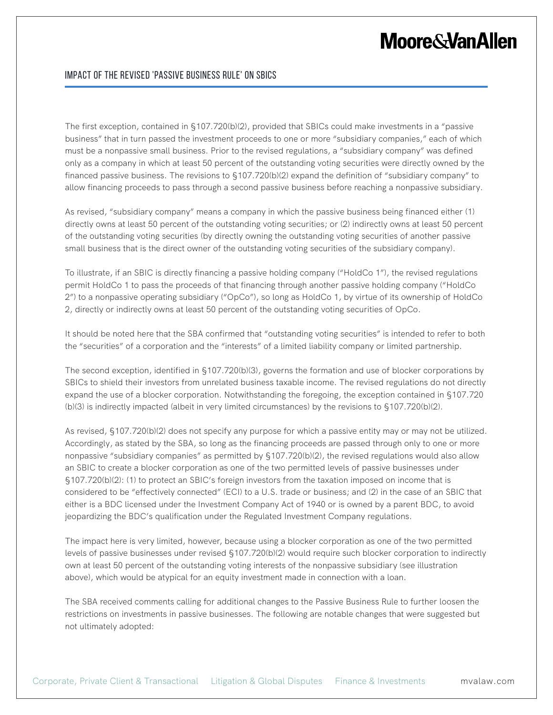### **Moore & Van Allen**

#### Impact Of The Revised 'Passive Business Rule' On SBICs

The first exception, contained in §107.720(b)(2), provided that SBICs could make investments in a "passive business" that in turn passed the investment proceeds to one or more "subsidiary companies," each of which must be a nonpassive small business. Prior to the revised regulations, a "subsidiary company" was defined only as a company in which at least 50 percent of the outstanding voting securities were directly owned by the financed passive business. The revisions to §107.720(b)(2) expand the definition of "subsidiary company" to allow financing proceeds to pass through a second passive business before reaching a nonpassive subsidiary.

As revised, "subsidiary company" means a company in which the passive business being financed either (1) directly owns at least 50 percent of the outstanding voting securities; or (2) indirectly owns at least 50 percent of the outstanding voting securities (by directly owning the outstanding voting securities of another passive small business that is the direct owner of the outstanding voting securities of the subsidiary company).

To illustrate, if an SBIC is directly financing a passive holding company ("HoldCo 1"), the revised regulations permit HoldCo 1 to pass the proceeds of that financing through another passive holding company ("HoldCo 2") to a nonpassive operating subsidiary ("OpCo"), so long as HoldCo 1, by virtue of its ownership of HoldCo 2, directly or indirectly owns at least 50 percent of the outstanding voting securities of OpCo.

It should be noted here that the SBA confirmed that "outstanding voting securities" is intended to refer to both the "securities" of a corporation and the "interests" of a limited liability company or limited partnership.

The second exception, identified in §107.720(b)(3), governs the formation and use of blocker corporations by SBICs to shield their investors from unrelated business taxable income. The revised regulations do not directly expand the use of a blocker corporation. Notwithstanding the foregoing, the exception contained in §107.720 (b)(3) is indirectly impacted (albeit in very limited circumstances) by the revisions to §107.720(b)(2).

As revised, §107.720(b)(2) does not specify any purpose for which a passive entity may or may not be utilized. Accordingly, as stated by the SBA, so long as the financing proceeds are passed through only to one or more nonpassive "subsidiary companies" as permitted by §107.720(b)(2), the revised regulations would also allow an SBIC to create a blocker corporation as one of the two permitted levels of passive businesses under §107.720(b)(2): (1) to protect an SBIC's foreign investors from the taxation imposed on income that is considered to be "effectively connected" (ECI) to a U.S. trade or business; and (2) in the case of an SBIC that either is a BDC licensed under the Investment Company Act of 1940 or is owned by a parent BDC, to avoid jeopardizing the BDC's qualification under the Regulated Investment Company regulations.

The impact here is very limited, however, because using a blocker corporation as one of the two permitted levels of passive businesses under revised §107.720(b)(2) would require such blocker corporation to indirectly own at least 50 percent of the outstanding voting interests of the nonpassive subsidiary (see illustration above), which would be atypical for an equity investment made in connection with a loan.

The SBA received comments calling for additional changes to the Passive Business Rule to further loosen the restrictions on investments in passive businesses. The following are notable changes that were suggested but not ultimately adopted: